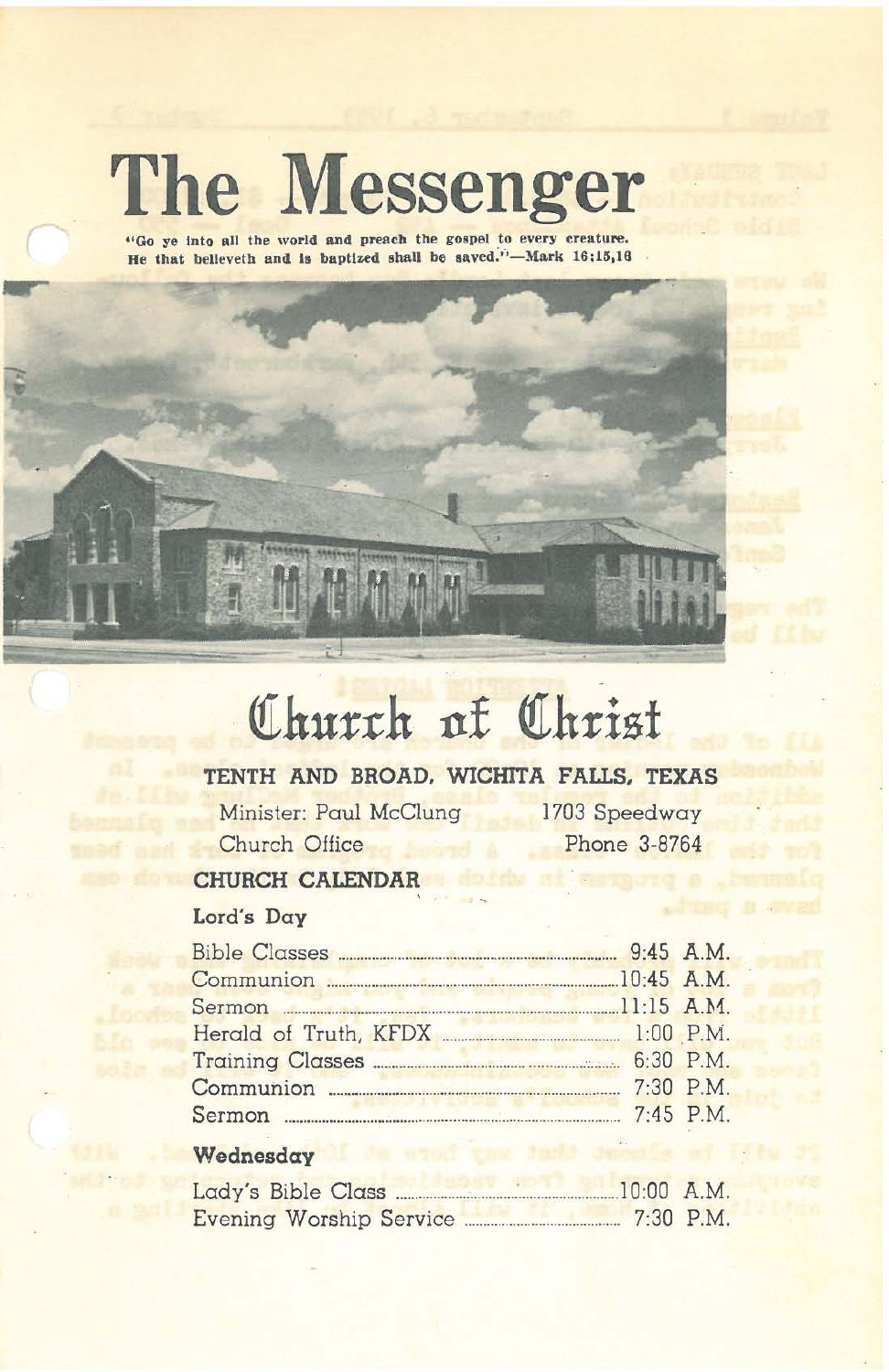# **The Messenger**

**"Go ye Into all the world and pn-acb the gospel to every creature.** He that believeth and is baptized shall be saved."-Mark 16:15,16

(



# **Qlhurth 11f Olhrisf**

# **TENTH AND BROAD. WICHITA FAllS. TEXAS**

Minister: Paul McClung Church Office

1703 Speedway Phone 3·8764

# **CHURCH CALENDAR**

# Lord's **Day**

| Communion 20145 A.M. |             |
|----------------------|-------------|
|                      |             |
|                      |             |
|                      |             |
|                      |             |
|                      | $7:45$ P.M. |

## **Wednesday**

| Lady's Bible Class.     | $10:00$ A.M. |
|-------------------------|--------------|
| Evening Worship Service | $7:30$ P.M.  |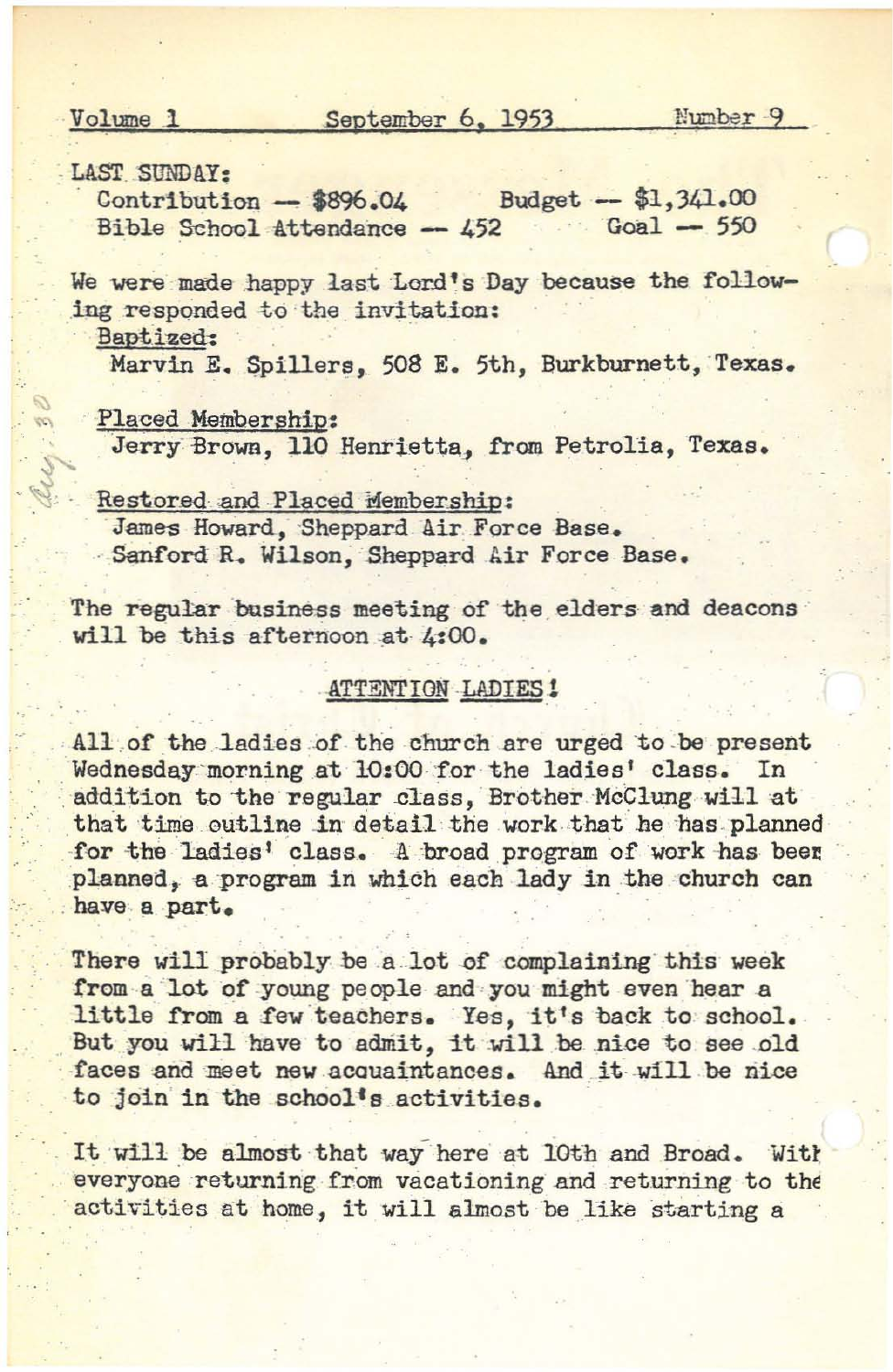#### Volume 1

LAST SUNDAY:

Budget - \$1,341.00 Contribution - \$896.04 Bible School Attendance -- 452  $Goal - 550$ 

We were made happy last Lord's Day because the following responded to the invitation:

Baptized:

Marvin E. Spillers, 508 E. 5th, Burkburnett, Texas.

Placed Membership:

Jerry Brown, 110 Henrietta, from Petrolia, Texas.

Restored and Placed Membership:

James Howard, Sheppard Air Force Base. Sanford R. Wilson, Sheppard Air Force Base.

The regular business meeting of the elders and deacons will be this afternoon at 4:00.

## ATTENTION LADIES!

All of the ladies of the church are urged to be present Wednesday morning at 10:00 for the ladies' class. In addition to the regular class. Brother McClung will at that time outline in detail the work that he has planned for the ladies' class. A broad program of work has been planned, a program in which each lady in the church can have a part.

There will probably be a lot of complaining this week from a lot of young people and you might even hear a little from a few teachers. Yes, it's back to school. But you will have to admit, it will be nice to see old faces and meet new acquaintances. And it will be nice to join in the school's activities.

It will be almost that way here at 10th and Broad. With everyone returning from vacationing and returning to the activities at home, it will almost be like starting a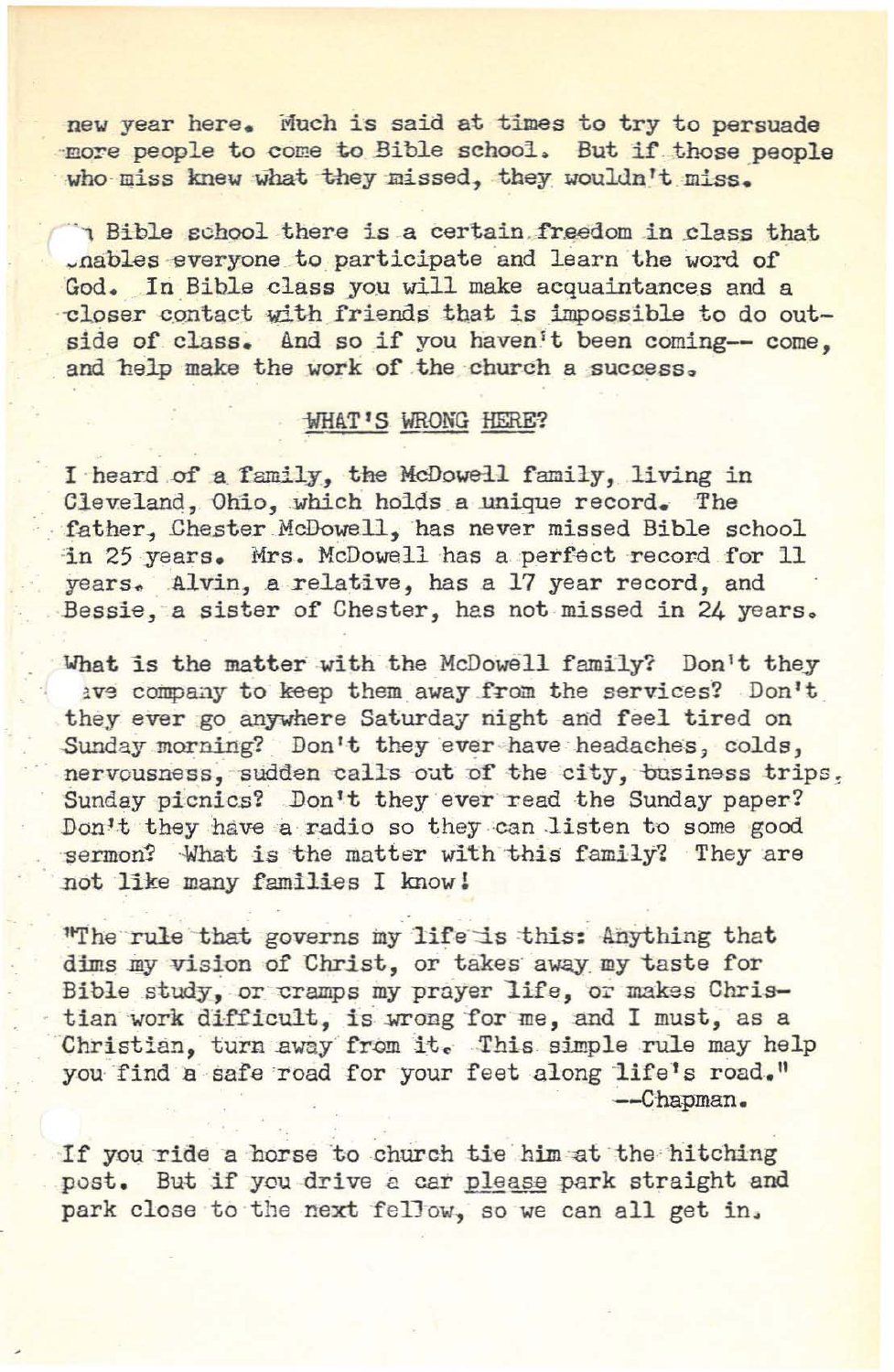new year here. Much is said at times to try to persuade more people to come to Bible school. But if those people who miss knew what they missed, they wouldn't miss.

In Bible school there is a certain freedom in class that \_nables·everyone to. participate 'and l~arn the word of' God. In Bible class you will make acquaintances and a closer contact with friends that is impossible to do outside of class. And so if you haven't been coming-- come, and help make the work of the church a success.

# WHAT'S WRONG HERE?

I heard of a family, the McDowell family, living in Cleveland, Ohio, which holds a unique record. The father, Chester McDowell, has never missed Bible school in 25 years. Mrs. McDowell has a perfect record for 11 years. Alvin, a relative, has a 17 year record, and Bessie, a sister of Chester, has not missed in 24 years.

What is the matter with the McDowell family? Don't they lve company to keep them away from the services? Don't they ever go anywhere Saturday night and feel tired on Sunday morning? Don't they ever have headaches, colds, nervousness, sudden calls out of the city, business trips, Sunday picnics? Don't they ever read the Sunday paper? Don't they have a radio so they can listen to some good sermon? What is the matter with this family? They are .not like many families I know!

"The rule that governs my life is this: Anything that dims my vision of Christ, or takes away my taste for Bible study, or cramps my prayer life, or makes Christian work difficult, is wrong for me, and I must, as a Christian, turn away from it. This simple rule may help you find a safe road for your feet along life's road." --Chapman.

If you ride a horse to church tie him at the hitching post. But if you drive a car please park straight and park close to the next fellow, so we can all get in.